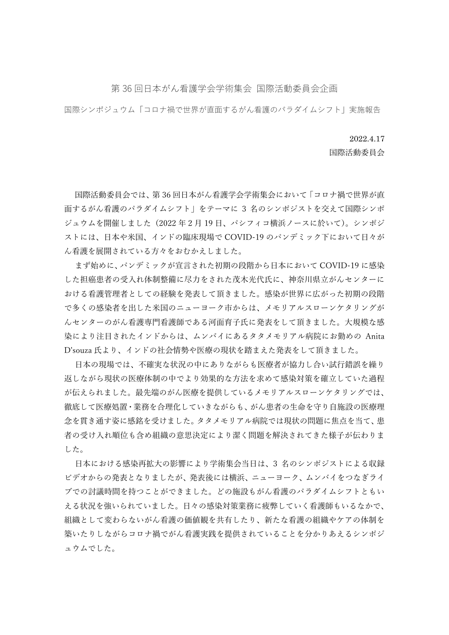## 第 36 回日本がん看護学会学術集会 国際活動委員会企画

国際シンポジュウム「コロナ禍で世界が直面するがん看護のパラダイムシフト」実施報告

## 2022.4.17

国際活動委員会

国際活動委員会では、第 36 回日本がん看護学会学術集会において「コロナ禍で世界が直 面するがん看護のパラダイムシフト」をテーマに 3 名のシンポジストを交えて国際シンポ ジュウムを開催しました(2022 年 2 月 19 日、パシフィコ横浜ノースに於いて)。シンポジ ストには、日本や米国、インドの臨床現場で COVID-19 のパンデミック下において日々が ん看護を展開されている方々をおむかえしました。

まず始めに、パンデミックが宣言された初期の段階から日本において COVID-19 に感染 した担癌患者の受入れ体制整備に尽力をされた茂木光代氏に、神奈川県立がんセンターに おける看護管理者としての経験を発表して頂きました。感染が世界に広がった初期の段階 で多くの感染者を出した米国のニューヨーク市からは、メモリアルスローンケタリングが んセンターのがん看護専門看護師である河面育子氏に発表をして頂きました。大規模な感 染により注目されたインドからは、ムンバイにあるタタメモリアル病院にお勤めの Anita D'souza 氏より、インドの社会情勢や医療の現状を踏まえた発表をして頂きました。

日本の現場では、不確実な状況の中にありながらも医療者が協力し合い試行錯誤を繰り 返しながら現状の医療体制の中でより効果的な方法を求めて感染対策を確立していた過程 が伝えられました。最先端のがん医療を提供しているメモリアルスローンケタリングでは、 徹底して医療処置・業務を合理化していきながらも、がん患者の生命を守り自施設の医療理 念を貫き通す姿に感銘を受けました。タタメモリアル病院では現状の問題に焦点を当て、患 者の受け入れ順位も含め組織の意思決定により潔く問題を解決されてきた様子が伝わりま した。

日本における感染再拡大の影響により学術集会当日は、3 名のシンポジストによる収録 ビデオからの発表となりましたが、発表後には横浜、ニューヨーク、ムンバイをつなぎライ ブでの討議時間を持つことができました。どの施設もがん看護のパラダイムシフトともい える状況を強いられていました。日々の感染対策業務に疲弊していく看護師もいるなかで、 組織として変わらないがん看護の価値観を共有したり、新たな看護の組織やケアの体制を 築いたりしながらコロナ禍でがん看護実践を提供されていることを分かりあえるシンポジ ュウムでした。